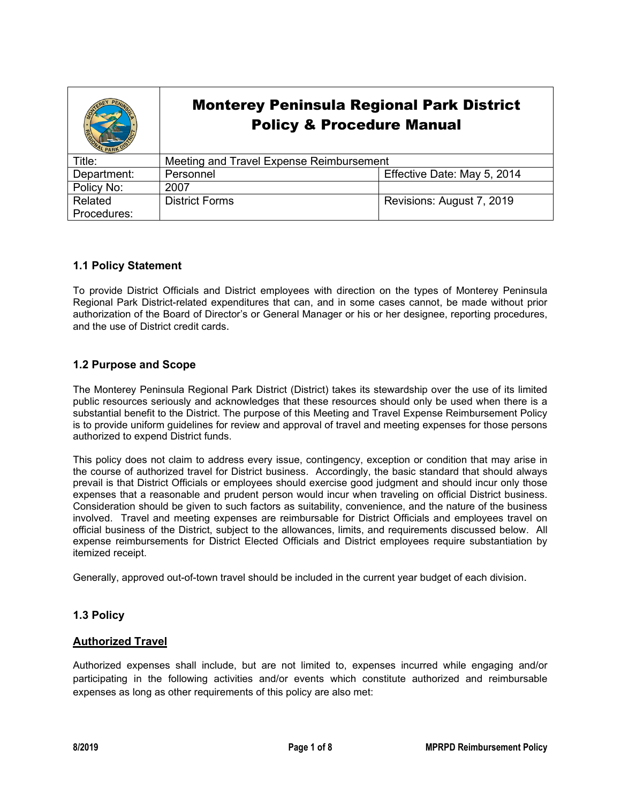|             | <b>Monterey Peninsula Regional Park District</b><br><b>Policy &amp; Procedure Manual</b> |                             |
|-------------|------------------------------------------------------------------------------------------|-----------------------------|
| Title:      | Meeting and Travel Expense Reimbursement                                                 |                             |
| Department: | Personnel                                                                                | Effective Date: May 5, 2014 |
| Policy No:  | 2007                                                                                     |                             |
| Related     | <b>District Forms</b>                                                                    | Revisions: August 7, 2019   |
| Procedures: |                                                                                          |                             |

## **1.1 Policy Statement**

To provide District Officials and District employees with direction on the types of Monterey Peninsula Regional Park District-related expenditures that can, and in some cases cannot, be made without prior authorization of the Board of Director's or General Manager or his or her designee, reporting procedures, and the use of District credit cards.

## **1.2 Purpose and Scope**

The Monterey Peninsula Regional Park District (District) takes its stewardship over the use of its limited public resources seriously and acknowledges that these resources should only be used when there is a substantial benefit to the District. The purpose of this Meeting and Travel Expense Reimbursement Policy is to provide uniform guidelines for review and approval of travel and meeting expenses for those persons authorized to expend District funds.

This policy does not claim to address every issue, contingency, exception or condition that may arise in the course of authorized travel for District business. Accordingly, the basic standard that should always prevail is that District Officials or employees should exercise good judgment and should incur only those expenses that a reasonable and prudent person would incur when traveling on official District business. Consideration should be given to such factors as suitability, convenience, and the nature of the business involved. Travel and meeting expenses are reimbursable for District Officials and employees travel on official business of the District, subject to the allowances, limits, and requirements discussed below. All expense reimbursements for District Elected Officials and District employees require substantiation by itemized receipt.

Generally, approved out-of-town travel should be included in the current year budget of each division.

# **1.3 Policy**

## **Authorized Travel**

Authorized expenses shall include, but are not limited to, expenses incurred while engaging and/or participating in the following activities and/or events which constitute authorized and reimbursable expenses as long as other requirements of this policy are also met: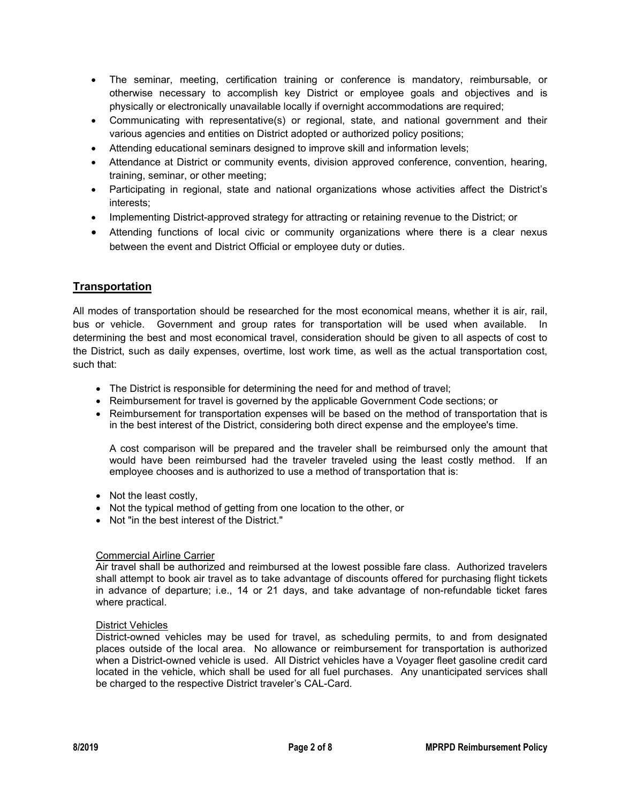- The seminar, meeting, certification training or conference is mandatory, reimbursable, or otherwise necessary to accomplish key District or employee goals and objectives and is physically or electronically unavailable locally if overnight accommodations are required;
- Communicating with representative(s) or regional, state, and national government and their various agencies and entities on District adopted or authorized policy positions;
- Attending educational seminars designed to improve skill and information levels;
- Attendance at District or community events, division approved conference, convention, hearing, training, seminar, or other meeting;
- Participating in regional, state and national organizations whose activities affect the District's interests;
- Implementing District-approved strategy for attracting or retaining revenue to the District; or
- Attending functions of local civic or community organizations where there is a clear nexus between the event and District Official or employee duty or duties.

# **Transportation**

All modes of transportation should be researched for the most economical means, whether it is air, rail, bus or vehicle. Government and group rates for transportation will be used when available. In determining the best and most economical travel, consideration should be given to all aspects of cost to the District, such as daily expenses, overtime, lost work time, as well as the actual transportation cost, such that:

- The District is responsible for determining the need for and method of travel;
- Reimbursement for travel is governed by the applicable Government Code sections; or
- Reimbursement for transportation expenses will be based on the method of transportation that is in the best interest of the District, considering both direct expense and the employee's time.

A cost comparison will be prepared and the traveler shall be reimbursed only the amount that would have been reimbursed had the traveler traveled using the least costly method. If an employee chooses and is authorized to use a method of transportation that is:

- Not the least costly,
- Not the typical method of getting from one location to the other, or
- Not "in the best interest of the District."

## Commercial Airline Carrier

Air travel shall be authorized and reimbursed at the lowest possible fare class. Authorized travelers shall attempt to book air travel as to take advantage of discounts offered for purchasing flight tickets in advance of departure; i.e., 14 or 21 days, and take advantage of non-refundable ticket fares where practical.

## District Vehicles

District-owned vehicles may be used for travel, as scheduling permits, to and from designated places outside of the local area. No allowance or reimbursement for transportation is authorized when a District-owned vehicle is used. All District vehicles have a Voyager fleet gasoline credit card located in the vehicle, which shall be used for all fuel purchases. Any unanticipated services shall be charged to the respective District traveler's CAL-Card.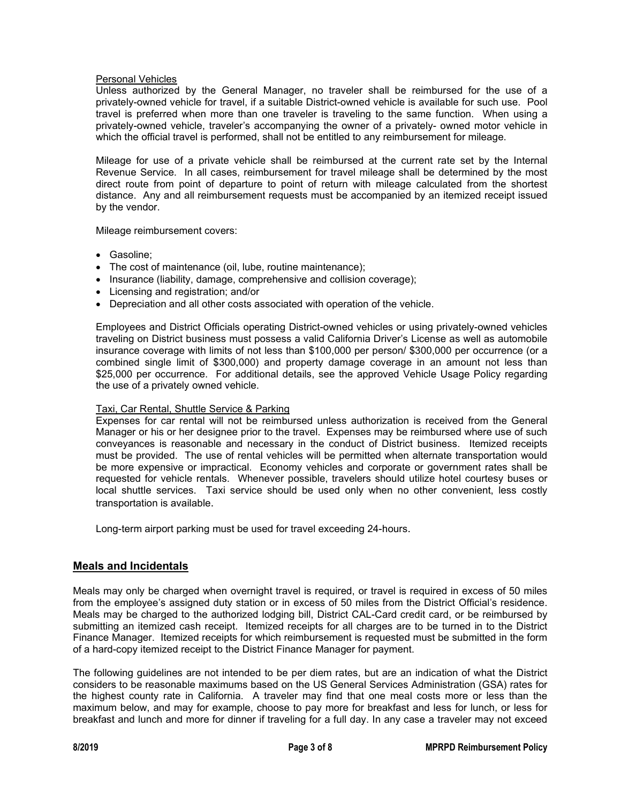#### Personal Vehicles

Unless authorized by the General Manager, no traveler shall be reimbursed for the use of a privately-owned vehicle for travel, if a suitable District-owned vehicle is available for such use. Pool travel is preferred when more than one traveler is traveling to the same function. When using a privately-owned vehicle, traveler's accompanying the owner of a privately- owned motor vehicle in which the official travel is performed, shall not be entitled to any reimbursement for mileage.

Mileage for use of a private vehicle shall be reimbursed at the current rate set by the Internal Revenue Service. In all cases, reimbursement for travel mileage shall be determined by the most direct route from point of departure to point of return with mileage calculated from the shortest distance. Any and all reimbursement requests must be accompanied by an itemized receipt issued by the vendor.

Mileage reimbursement covers:

- Gasoline;
- The cost of maintenance (oil, lube, routine maintenance);
- Insurance (liability, damage, comprehensive and collision coverage);
- Licensing and registration; and/or
- Depreciation and all other costs associated with operation of the vehicle.

Employees and District Officials operating District-owned vehicles or using privately-owned vehicles traveling on District business must possess a valid California Driver's License as well as automobile insurance coverage with limits of not less than \$100,000 per person/ \$300,000 per occurrence (or a combined single limit of \$300,000) and property damage coverage in an amount not less than \$25,000 per occurrence. For additional details, see the approved Vehicle Usage Policy regarding the use of a privately owned vehicle.

#### Taxi, Car Rental, Shuttle Service & Parking

Expenses for car rental will not be reimbursed unless authorization is received from the General Manager or his or her designee prior to the travel. Expenses may be reimbursed where use of such conveyances is reasonable and necessary in the conduct of District business. Itemized receipts must be provided. The use of rental vehicles will be permitted when alternate transportation would be more expensive or impractical. Economy vehicles and corporate or government rates shall be requested for vehicle rentals. Whenever possible, travelers should utilize hotel courtesy buses or local shuttle services. Taxi service should be used only when no other convenient, less costly transportation is available.

Long-term airport parking must be used for travel exceeding 24-hours.

## **Meals and Incidentals**

Meals may only be charged when overnight travel is required, or travel is required in excess of 50 miles from the employee's assigned duty station or in excess of 50 miles from the District Official's residence. Meals may be charged to the authorized lodging bill, District CAL-Card credit card, or be reimbursed by submitting an itemized cash receipt. Itemized receipts for all charges are to be turned in to the District Finance Manager. Itemized receipts for which reimbursement is requested must be submitted in the form of a hard-copy itemized receipt to the District Finance Manager for payment.

The following guidelines are not intended to be per diem rates, but are an indication of what the District considers to be reasonable maximums based on the US General Services Administration (GSA) rates for the highest county rate in California. A traveler may find that one meal costs more or less than the maximum below, and may for example, choose to pay more for breakfast and less for lunch, or less for breakfast and lunch and more for dinner if traveling for a full day. In any case a traveler may not exceed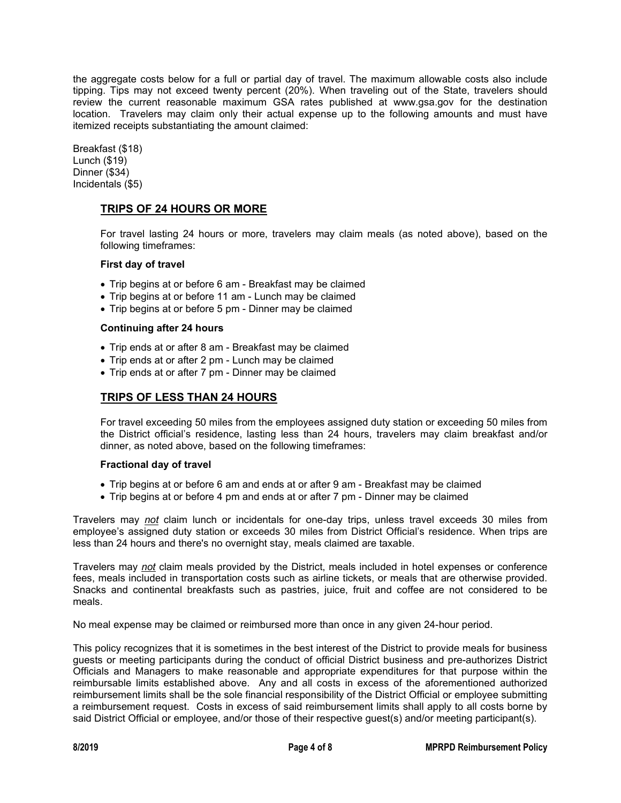the aggregate costs below for a full or partial day of travel. The maximum allowable costs also include tipping. Tips may not exceed twenty percent (20%). When traveling out of the State, travelers should review the current reasonable maximum GSA rates published at www.gsa.gov for the destination location. Travelers may claim only their actual expense up to the following amounts and must have itemized receipts substantiating the amount claimed:

Breakfast (\$18) Lunch (\$19) Dinner (\$34) Incidentals (\$5)

# **TRIPS OF 24 HOURS OR MORE**

For travel lasting 24 hours or more, travelers may claim meals (as noted above), based on the following timeframes:

#### **First day of travel**

- Trip begins at or before 6 am Breakfast may be claimed
- Trip begins at or before 11 am Lunch may be claimed
- Trip begins at or before 5 pm Dinner may be claimed

#### **Continuing after 24 hours**

- Trip ends at or after 8 am Breakfast may be claimed
- Trip ends at or after 2 pm Lunch may be claimed
- Trip ends at or after 7 pm Dinner may be claimed

# **TRIPS OF LESS THAN 24 HOURS**

For travel exceeding 50 miles from the employees assigned duty station or exceeding 50 miles from the District official's residence, lasting less than 24 hours, travelers may claim breakfast and/or dinner, as noted above, based on the following timeframes:

#### **Fractional day of travel**

- Trip begins at or before 6 am and ends at or after 9 am Breakfast may be claimed
- Trip begins at or before 4 pm and ends at or after 7 pm Dinner may be claimed

Travelers may *not* claim lunch or incidentals for one-day trips, unless travel exceeds 30 miles from employee's assigned duty station or exceeds 30 miles from District Official's residence. When trips are less than 24 hours and there's no overnight stay, meals claimed are taxable.

Travelers may *not* claim meals provided by the District, meals included in hotel expenses or conference fees, meals included in transportation costs such as airline tickets, or meals that are otherwise provided. Snacks and continental breakfasts such as pastries, juice, fruit and coffee are not considered to be meals.

No meal expense may be claimed or reimbursed more than once in any given 24-hour period.

This policy recognizes that it is sometimes in the best interest of the District to provide meals for business guests or meeting participants during the conduct of official District business and pre-authorizes District Officials and Managers to make reasonable and appropriate expenditures for that purpose within the reimbursable limits established above. Any and all costs in excess of the aforementioned authorized reimbursement limits shall be the sole financial responsibility of the District Official or employee submitting a reimbursement request. Costs in excess of said reimbursement limits shall apply to all costs borne by said District Official or employee, and/or those of their respective guest(s) and/or meeting participant(s).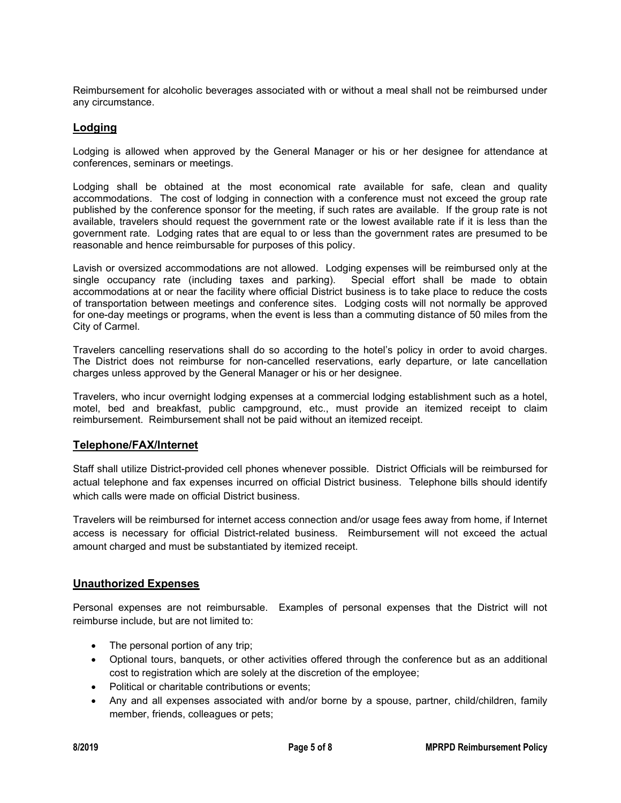Reimbursement for alcoholic beverages associated with or without a meal shall not be reimbursed under any circumstance.

## **Lodging**

Lodging is allowed when approved by the General Manager or his or her designee for attendance at conferences, seminars or meetings.

Lodging shall be obtained at the most economical rate available for safe, clean and quality accommodations. The cost of lodging in connection with a conference must not exceed the group rate published by the conference sponsor for the meeting, if such rates are available. If the group rate is not available, travelers should request the government rate or the lowest available rate if it is less than the government rate. Lodging rates that are equal to or less than the government rates are presumed to be reasonable and hence reimbursable for purposes of this policy.

Lavish or oversized accommodations are not allowed. Lodging expenses will be reimbursed only at the single occupancy rate (including taxes and parking). Special effort shall be made to obtain single occupancy rate (including taxes and parking). accommodations at or near the facility where official District business is to take place to reduce the costs of transportation between meetings and conference sites. Lodging costs will not normally be approved for one-day meetings or programs, when the event is less than a commuting distance of 50 miles from the City of Carmel.

Travelers cancelling reservations shall do so according to the hotel's policy in order to avoid charges. The District does not reimburse for non-cancelled reservations, early departure, or late cancellation charges unless approved by the General Manager or his or her designee.

Travelers, who incur overnight lodging expenses at a commercial lodging establishment such as a hotel, motel, bed and breakfast, public campground, etc., must provide an itemized receipt to claim reimbursement. Reimbursement shall not be paid without an itemized receipt.

## **Telephone/FAX/Internet**

Staff shall utilize District-provided cell phones whenever possible. District Officials will be reimbursed for actual telephone and fax expenses incurred on official District business. Telephone bills should identify which calls were made on official District business.

Travelers will be reimbursed for internet access connection and/or usage fees away from home, if Internet access is necessary for official District-related business. Reimbursement will not exceed the actual amount charged and must be substantiated by itemized receipt.

## **Unauthorized Expenses**

Personal expenses are not reimbursable. Examples of personal expenses that the District will not reimburse include, but are not limited to:

- The personal portion of any trip;
- Optional tours, banquets, or other activities offered through the conference but as an additional cost to registration which are solely at the discretion of the employee;
- Political or charitable contributions or events;
- Any and all expenses associated with and/or borne by a spouse, partner, child/children, family member, friends, colleagues or pets;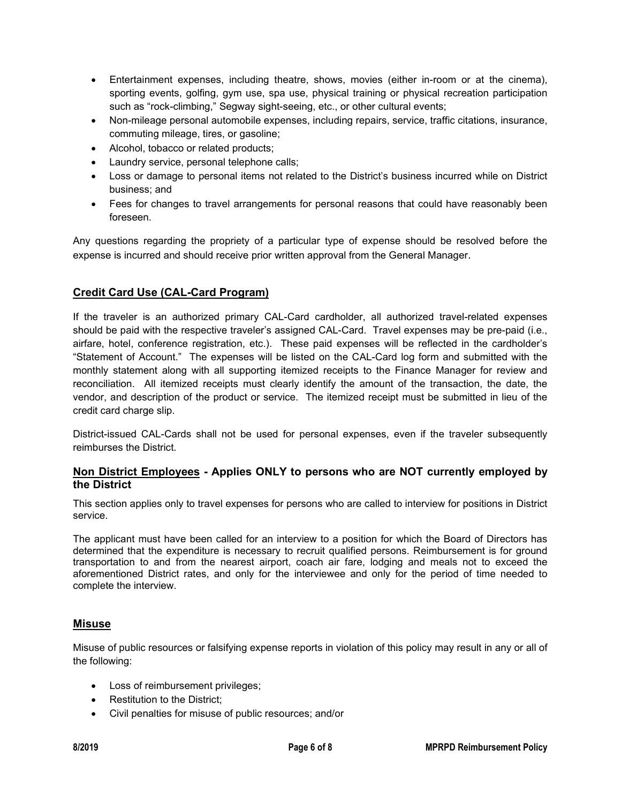- Entertainment expenses, including theatre, shows, movies (either in-room or at the cinema), sporting events, golfing, gym use, spa use, physical training or physical recreation participation such as "rock-climbing," Segway sight-seeing, etc., or other cultural events;
- Non-mileage personal automobile expenses, including repairs, service, traffic citations, insurance, commuting mileage, tires, or gasoline;
- Alcohol, tobacco or related products;
- Laundry service, personal telephone calls;
- Loss or damage to personal items not related to the District's business incurred while on District business; and
- Fees for changes to travel arrangements for personal reasons that could have reasonably been foreseen.

Any questions regarding the propriety of a particular type of expense should be resolved before the expense is incurred and should receive prior written approval from the General Manager.

# **Credit Card Use (CAL-Card Program)**

If the traveler is an authorized primary CAL-Card cardholder, all authorized travel-related expenses should be paid with the respective traveler's assigned CAL-Card. Travel expenses may be pre-paid (i.e., airfare, hotel, conference registration, etc.). These paid expenses will be reflected in the cardholder's "Statement of Account." The expenses will be listed on the CAL-Card log form and submitted with the monthly statement along with all supporting itemized receipts to the Finance Manager for review and reconciliation. All itemized receipts must clearly identify the amount of the transaction, the date, the vendor, and description of the product or service. The itemized receipt must be submitted in lieu of the credit card charge slip.

District-issued CAL-Cards shall not be used for personal expenses, even if the traveler subsequently reimburses the District.

# **Non District Employees - Applies ONLY to persons who are NOT currently employed by the District**

This section applies only to travel expenses for persons who are called to interview for positions in District service.

The applicant must have been called for an interview to a position for which the Board of Directors has determined that the expenditure is necessary to recruit qualified persons. Reimbursement is for ground transportation to and from the nearest airport, coach air fare, lodging and meals not to exceed the aforementioned District rates, and only for the interviewee and only for the period of time needed to complete the interview.

# **Misuse**

Misuse of public resources or falsifying expense reports in violation of this policy may result in any or all of the following:

- Loss of reimbursement privileges;
- Restitution to the District;
- Civil penalties for misuse of public resources; and/or